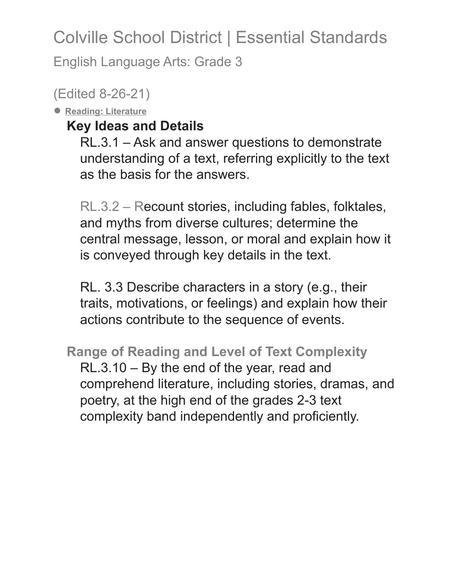English Language Arts: Grade 3

(Edited 8-26-21)

● **Reading: Literature**

## **Key Ideas and Details**

RL.3.1 – Ask and answer questions to demonstrate understanding of a text, referring explicitly to the text as the basis for the answers.

RL.3.2 – Recount stories, including fables, folktales, and myths from diverse cultures; determine the central message, lesson, or moral and explain how it is conveyed through key details in the text.

RL. 3.3 Describe characters in a story (e.g., their traits, motivations, or feelings) and explain how their actions contribute to the sequence of events.

**Range of Reading and Level of Text Complexity** RL.3.10 – By the end of the year, read and comprehend literature, including stories, dramas, and poetry, at the high end of the grades 2-3 text complexity band independently and proficiently.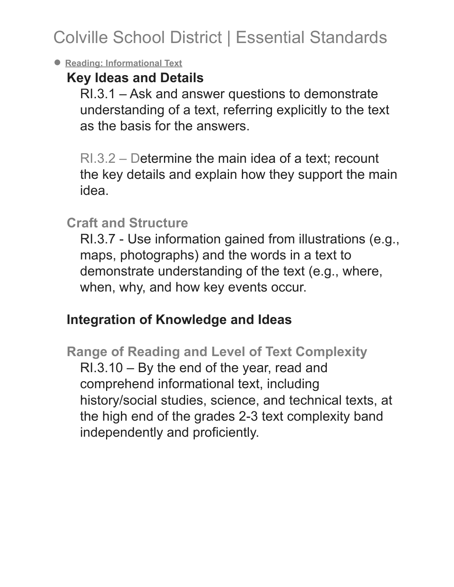#### ● **Reading: Informational Text**

### **Key Ideas and Details**

RI.3.1 – Ask and answer questions to demonstrate understanding of a text, referring explicitly to the text as the basis for the answers.

RI.3.2 – Determine the main idea of a text; recount the key details and explain how they support the main idea.

### **Craft and Structure**

RI.3.7 - Use information gained from illustrations (e.g., maps, photographs) and the words in a text to demonstrate understanding of the text (e.g., where, when, why, and how key events occur.

## **Integration of Knowledge and Ideas**

**Range of Reading and Level of Text Complexity** RI.3.10 – By the end of the year, read and comprehend informational text, including history/social studies, science, and technical texts, at the high end of the grades 2-3 text complexity band independently and proficiently.